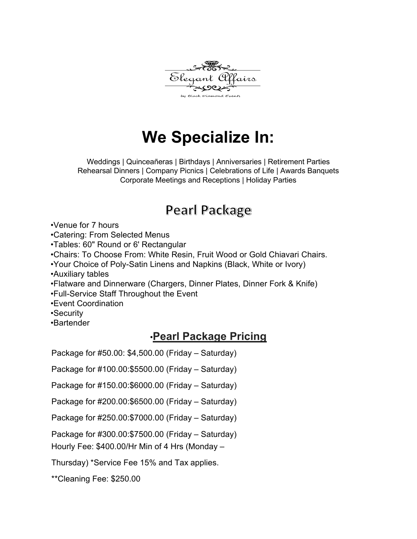

# **We Specialize In:**

Weddings | Quinceañeras | Birthdays | Anniversaries | Retirement Parties Rehearsal Dinners | Company Picnics | Celebrations of Life | Awards Banquets Corporate Meetings and Receptions | Holiday Parties

### Pearl Package

•Venue for 7 hours

•Catering: From Selected Menus

•Tables: 60" Round or 6' Rectangular

•Chairs: To Choose From: White Resin, Fruit Wood or Gold Chiavari Chairs.

•Your Choice of Poly-Satin Linens and Napkins (Black, White or Ivory)

•Auxiliary tables

•Flatware and Dinnerware (Chargers, Dinner Plates, Dinner Fork & Knife)

•Full-Service Staff Throughout the Event

•Event Coordination

•Security

•Bartender

#### •**Pearl Package Pricing**

Package for #50.00: \$4,500.00 (Friday – Saturday)

Package for #100.00:\$5500.00 (Friday – Saturday)

Package for #150.00:\$6000.00 (Friday – Saturday)

Package for #200.00:\$6500.00 (Friday – Saturday)

Package for #250.00:\$7000.00 (Friday – Saturday)

Package for #300.00:\$7500.00 (Friday – Saturday)

Hourly Fee: \$400.00/Hr Min of 4 Hrs (Monday –

Thursday) \*Service Fee 15% and Tax applies.

\*\*Cleaning Fee: \$250.00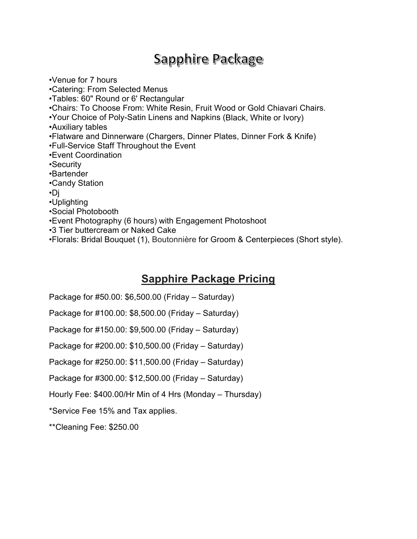### Sapphire Package

•Venue for 7 hours •Catering: From Selected Menus •Tables: 60" Round or 6' Rectangular •Chairs: To Choose From: White Resin, Fruit Wood or Gold Chiavari Chairs. •Your Choice of Poly-Satin Linens and Napkins (Black, White or Ivory) •Auxiliary tables •Flatware and Dinnerware (Chargers, Dinner Plates, Dinner Fork & Knife) •Full-Service Staff Throughout the Event •Event Coordination •Security •Bartender •Candy Station •Dj •Uplighting •Social Photobooth •Event Photography (6 hours) with Engagement Photoshoot •3 Tier buttercream or Naked Cake •Florals: Bridal Bouquet (1), Boutonnière for Groom & Centerpieces (Short style).

#### **Sapphire Package Pricing**

Package for #50.00: \$6,500.00 (Friday – Saturday)

Package for #100.00: \$8,500.00 (Friday – Saturday)

Package for #150.00: \$9,500.00 (Friday – Saturday)

Package for #200.00: \$10,500.00 (Friday – Saturday)

Package for #250.00: \$11,500.00 (Friday – Saturday)

Package for #300.00: \$12,500.00 (Friday – Saturday)

Hourly Fee: \$400.00/Hr Min of 4 Hrs (Monday – Thursday)

\*Service Fee 15% and Tax applies.

\*\*Cleaning Fee: \$250.00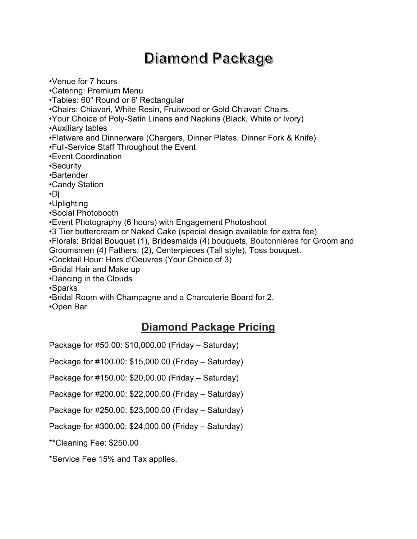## Diamond Package

•Venue for 7 hours

•Catering: Premium Menu

•Tables: 60" Round or 6' Rectangular

•Chairs: Chiavari, White Resin, Fruitwood or Gold Chiavari Chairs.

•Your Choice of Poly-Satin Linens and Napkins (Black, White or Ivory)

•Auxiliary tables

•Flatware and Dinnerware (Chargers, Dinner Plates, Dinner Fork & Knife)

•Full-Service Staff Throughout the Event

•Event Coordination

•Security

•Bartender

•Candy Station

•Dj

•Uplighting

•Social Photobooth

•Event Photography (6 hours) with Engagement Photoshoot

•3 Tier buttercream or Naked Cake (special design available for extra fee)

•Florals: Bridal Bouquet (1), Bridesmaids (4) bouquets, Boutonnières for Groom and Groomsmen (4) Fathers: (2), Centerpieces (Tall style), Toss bouquet.

•Cocktail Hour: Hors d'Oeuvres (Your Choice of 3)

•Bridal Hair and Make up

•Dancing in the Clouds

•Sparks

•Bridal Room with Champagne and a Charcuterie Board for 2.

•Open Bar

#### **Diamond Package Pricing**

Package for #50.00: \$10,000.00 (Friday – Saturday)

Package for #100.00: \$15,000.00 (Friday – Saturday)

Package for #150.00: \$20,00.00 (Friday – Saturday)

Package for #200.00: \$22,000.00 (Friday – Saturday)

Package for #250.00: \$23,000.00 (Friday – Saturday)

Package for #300.00: \$24,000.00 (Friday – Saturday)

\*\*Cleaning Fee: \$250.00

\*Service Fee 15% and Tax applies.